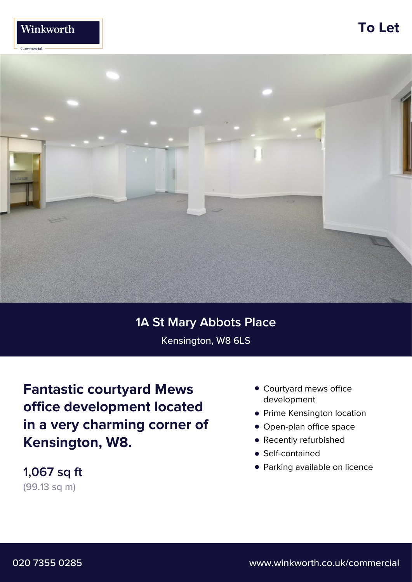

# **To Let**



### **1A St Mary Abbots Place** Kensington, W8 6LS

**Fantastic courtyard Mews office development located in a very charming corner of Kensington, W8.**

**1,067 sq ft** (99.13 sq m)

- Courtyard mews office **•** development
- **•** Prime Kensington location
- **•** Open-plan office space
- **•** Recently refurbished
- **•** Self-contained
- **•** Parking available on licence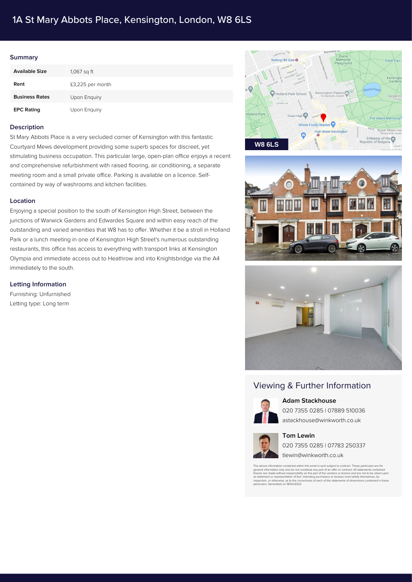### 1A St Mary Abbots Place, Kensington, London, W8 6LS

#### **Summary**

| <b>Available Size</b> | $1,067$ sq ft    |
|-----------------------|------------------|
| Rent                  | £3,225 per month |
| <b>Business Rates</b> | Upon Enquiry     |
| <b>EPC Rating</b>     | Upon Enquiry     |

#### **Description**

St Mary Abbots Place is a very secluded corner of Kensington with this fantastic Courtyard Mews development providing some superb spaces for discreet, yet stimulating business occupation. This particular large, open-plan office enjoys a recent and comprehensive refurbishment with raised flooring, air conditioning, a separate meeting room and a small private office. Parking is available on a licence. Selfcontained by way of washrooms and kitchen facilities.

#### **Location**

Enjoying a special position to the south of Kensington High Street, between the junctions of Warwick Gardens and Edwardes Square and within easy reach of the outstanding and varied amenities that W8 has to offer. Whether it be a stroll in Holland Park or a lunch meeting in one of Kensington High Street's numerous outstanding restaurants, this office has access to everything with transport links at Kensington Olympia and immediate access out to Heathrow and into Knightsbridge via the A4 immediately to the south.

#### **Letting Information**

Furnishing: Unfurnished Letting type: Long term







### Viewing & Further Information



**Adam Stackhouse**

020 7355 0285 | 07889 510036 astackhouse@winkworth.co.uk



**Tom Lewin** 020 7355 0285 | 07783 250337 tlewin@winkworth.co.uk

The above information contained within this email is sent subject to contract. These particulars are for<br>general information only and do not constitute any part of an offer or contract. All statements contained<br>therein are